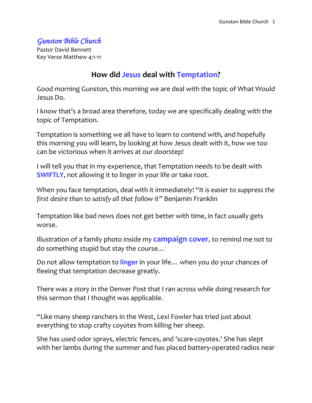### *Gunston Bible Church*

Pastor David Bennett Key Verse Matthew 4:1-11

### **How did Jesus deal with Temptation?**

Good morning Gunston, this morning we are deal with the topic of What Would Jesus Do.

I know that's a broad area therefore, today we are specifically dealing with the topic of Temptation.

Temptation is something we all have to learn to contend with, and hopefully this morning you will learn, by looking at how Jesus dealt with it, how we too can be victorious when it arrives at our doorstep!

I will tell you that in my experience, that Temptation needs to be dealt with **SWIFTLY**, not allowing it to linger in your life or take root.

When you face temptation, deal with it immediately! *"It is easier to suppress the first desire than to satisfy all that follow it"* Benjamin Franklin

Temptation like bad news does not get better with time, in fact usually gets worse.

Illustration of a family photo inside my **campaign cover**, to remind me not to do something stupid but stay the course…

Do not allow temptation to **linger** in your life… when you do your chances of fleeing that temptation decrease greatly.

There was a story in the Denver Post that I ran across while doing research for this sermon that I thought was applicable.

"Like many sheep ranchers in the West, Lexi Fowler has tried just about everything to stop crafty coyotes from killing her sheep.

She has used odor sprays, electric fences, and 'scare-coyotes.' She has slept with her lambs during the summer and has placed battery-operated radios near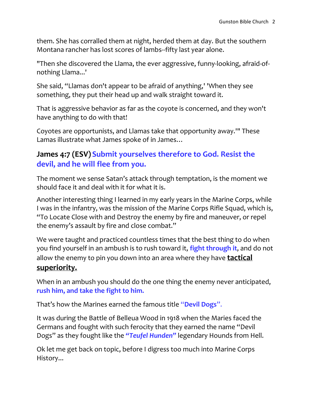them. She has corralled them at night, herded them at day. But the southern Montana rancher has lost scores of lambs--fifty last year alone.

"Then she discovered the Llama, the ever aggressive, funny-looking, afraid-ofnothing Llama...'

She said, "Llamas don't appear to be afraid of anything,' 'When they see something, they put their head up and walk straight toward it.

That is aggressive behavior as far as the coyote is concerned, and they won't have anything to do with that!

Coyotes are opportunists, and Llamas take that opportunity away.'" These Lamas illustrate what James spoke of in James…

### **James 4:7 (ESV) Submit yourselves therefore to God. Resist the devil, and he will flee from you.**

The moment we sense Satan's attack through temptation, is the moment we should face it and deal with it for what it is.

Another interesting thing I learned in my early years in the Marine Corps, while I was in the infantry, was the mission of the Marine Corps Rifle Squad, which is, "To Locate Close with and Destroy the enemy by fire and maneuver, or repel the enemy's assault by fire and close combat."

We were taught and practiced countless times that the best thing to do when you find yourself in an ambush is to rush toward it, **fight through it**, and do not allow the enemy to pin you down into an area where they have **tactical superiority.**

When in an ambush you should do the one thing the enemy never anticipated, **rush him, and take the fight to him.**

That's how the Marines earned the famous title "**Devil Dogs**".

It was during the Battle of Belleua Wood in 1918 when the Maries faced the Germans and fought with such ferocity that they earned the name "Devil Dogs" as they fought like the *"Teufel Hunden"* legendary Hounds from Hell.

Ok let me get back on topic, before I digress too much into Marine Corps History...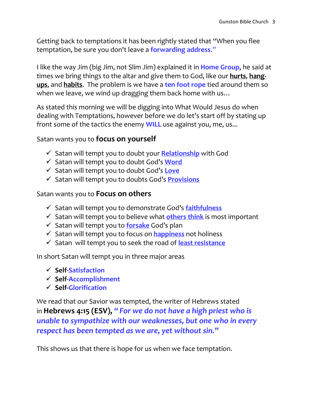Getting back to temptations it has been rightly stated that "When you flee temptation, be sure you don't leave a **forwarding address**."

I like the way Jim (big Jim, not Slim Jim) explained it in **Home Group**, he said at times we bring things to the altar and give them to God, like our **hurts**, **hangups**, and **habits**. The problem is we have a **ten foot rope** tied around them so when we leave, we wind up dragging them back home with us…

As stated this morning we will be digging into What Would Jesus do when dealing with Temptations, however before we do let's start off by stating up front some of the tactics the enemy **WILL** use against you, me, us...

#### Satan wants you to **focus on yourself**

- Satan will tempt you to doubt your **Relationship** with God
- Satan will tempt you to doubt God's **Word**
- Satan will tempt you to doubt God's **Love**
- Satan will tempt you to doubts God's **Provisions**

#### Satan wants you to **Focus on others**

- Satan will tempt you to demonstrate God's **faithfulness**
- $\checkmark$  Satan will tempt you to believe what **others think** is most important
- Satan will tempt you to **forsake** God's plan
- Satan will tempt you to focus on **happiness** not holiness
- Satan will tempt you to seek the road of **least resistance**

In short Satan will tempt you in three major areas

- **Self-Satisfaction**
- **Self-Accomplishment**
- **Self-Glorification**

We read that our Savior was tempted, the writer of Hebrews stated in **Hebrews 4:15 (ESV),** *" For we do not have a high priest who is unable to sympathize with our weaknesses, but one who in every respect has been tempted as we are, yet without sin."*

This shows us that there is hope for us when we face temptation.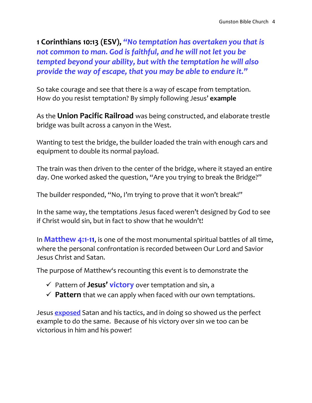**1 Corinthians 10:13 (ESV),** *"No temptation has overtaken you that is not common to man. God is faithful, and he will not let you be tempted beyond your ability, but with the temptation he will also provide the way of escape, that you may be able to endure it."*

So take courage and see that there is a way of escape from temptation. How do you resist temptation? By simply following Jesus' **example**

As the **Union Pacific Railroad** was being constructed, and elaborate trestle bridge was built across a canyon in the West.

Wanting to test the bridge, the builder loaded the train with enough cars and equipment to double its normal payload.

The train was then driven to the center of the bridge, where it stayed an entire day. One worked asked the question, "Are you trying to break the Bridge?"

The builder responded, "No, I'm trying to prove that it won't break!"

In the same way, the temptations Jesus faced weren't designed by God to see if Christ would sin, but in fact to show that he wouldn't!

In **Matthew 4:1-11**, is one of the most monumental spiritual battles of all time, where the personal confrontation is recorded between Our Lord and Savior Jesus Christ and Satan.

The purpose of Matthew's recounting this event is to demonstrate the

- Pattern of **Jesus' victory** over temptation and sin, a
- $\checkmark$  Pattern that we can apply when faced with our own temptations.

Jesus **exposed** Satan and his tactics, and in doing so showed us the perfect example to do the same. Because of his victory over sin we too can be victorious in him and his power!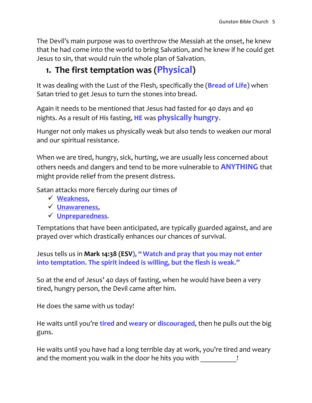The Devil's main purpose was to overthrow the Messiah at the onset, he knew that he had come into the world to bring Salvation, and he knew if he could get Jesus to sin, that would ruin the whole plan of Salvation.

# **1. The first temptation was (Physical)**

It was dealing with the Lust of the Flesh, specifically the (**Bread of Life**) when Satan tried to get Jesus to turn the stones into bread.

Again it needs to be mentioned that Jesus had fasted for 40 days and 40 nights. As a result of His fasting, **HE** was **physically hungry**.

Hunger not only makes us physically weak but also tends to weaken our moral and our spiritual resistance.

When we are tired, hungry, sick, hurting, we are usually less concerned about others needs and dangers and tend to be more vulnerable to **ANYTHING** that might provide relief from the present distress.

Satan attacks more fiercely during our times of

- **Weakness**,
- **Unawareness**,
- **Unpreparedness**.

Temptations that have been anticipated, are typically guarded against, and are prayed over which drastically enhances our chances of survival.

Jesus tells us in **Mark 14:38 (ESV), "Watch and pray that you may not enter into temptation. The spirit indeed is willing, but the flesh is weak."**

So at the end of Jesus' 40 days of fasting, when he would have been a very tired, hungry person, the Devil came after him.

He does the same with us today!

He waits until you're **tired** and **weary** or **discouraged**, then he pulls out the big guns.

He waits until you have had a long terrible day at work, you're tired and weary and the moment you walk in the door he hits you with  $\qquad \qquad$ !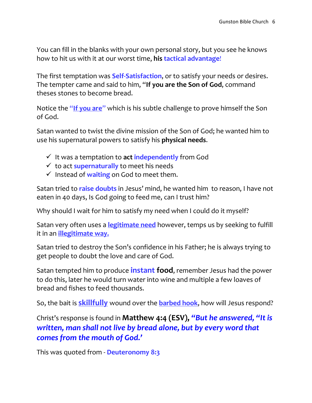You can fill in the blanks with your own personal story, but you see he knows how to hit us with it at our worst time, **his tactical advantage**!

The first temptation was **Self-Satisfaction**, or to satisfy your needs or desires. The tempter came and said to him, "**If you are the Son of God**, command theses stones to become bread.

Notice the "**If you are**" which is his subtle challenge to prove himself the Son of God.

Satan wanted to twist the divine mission of the Son of God; he wanted him to use his supernatural powers to satisfy his **physical needs**.

- $\checkmark$  It was a temptation to **act independently** from God
- $\checkmark$  to act **supernaturally** to meet his needs
- $\checkmark$  Instead of waiting on God to meet them.

Satan tried to **raise doubts** in Jesus' mind, he wanted him to reason, I have not eaten in 40 days, Is God going to feed me, can I trust him?

Why should I wait for him to satisfy my need when I could do it myself?

Satan very often uses a **legitimate need** however, temps us by seeking to fulfill it in an **illegitimate way.**

Satan tried to destroy the Son's confidence in his Father; he is always trying to get people to doubt the love and care of God.

Satan tempted him to produce **instant food**, remember Jesus had the power to do this, later he would turn water into wine and multiple a few loaves of bread and fishes to feed thousands.

So, the bait is **skillfully** wound over the **barbed hook**, how will Jesus respond?

Christ's response is found in **Matthew 4:4 (ESV),** *"But he answered, "It is written, man shall not live by bread alone, but by every word that comes from the mouth of God.'*

This was quoted from - **Deuteronomy 8:3**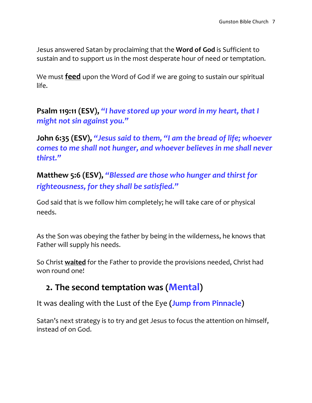Jesus answered Satan by proclaiming that the **Word of God** is Sufficient to sustain and to support us in the most desperate hour of need or temptation.

We must **feed** upon the Word of God if we are going to sustain our spiritual life.

**Psalm 119:11 (ESV),** *"I have stored up your word in my heart, that I might not sin against you."*

**John 6:35 (ESV),** *"Jesus said to them, "I am the bread of life; whoever comes to me shall not hunger, and whoever believes in me shall never thirst."*

**Matthew 5:6 (ESV),** *"Blessed are those who hunger and thirst for righteousness, for they shall be satisfied."*

God said that is we follow him completely; he will take care of or physical needs.

As the Son was obeying the father by being in the wilderness, he knows that Father will supply his needs.

So Christ **waited** for the Father to provide the provisions needed, Christ had won round one!

## **2. The second temptation was (Mental)**

It was dealing with the Lust of the Eye **(Jump from Pinnacle)**

Satan's next strategy is to try and get Jesus to focus the attention on himself, instead of on God.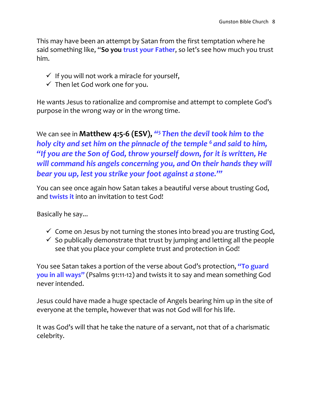This may have been an attempt by Satan from the first temptation where he said something like, "**So you trust your Father**, so let's see how much you trust him.

- $\checkmark$  If you will not work a miracle for yourself,
- $\checkmark$  Then let God work one for you.

He wants Jesus to rationalize and compromise and attempt to complete God's purpose in the wrong way or in the wrong time.

We can see in **Matthew 4:5-6 (ESV),** *" <sup>5</sup> Then the devil took him to the holy city and set him on the pinnacle of the temple <sup>6</sup> and said to him, "If you are the Son of God, throw yourself down, for it is written, He*  will command his angels concerning you, and On their hands they will *bear you up, lest you strike your foot against a stone.'"*

You can see once again how Satan takes a beautiful verse about trusting God, and **twists it** into an invitation to test God!

Basically he say...

- $\checkmark$  Come on Jesus by not turning the stones into bread you are trusting God,
- $\checkmark$  So publically demonstrate that trust by jumping and letting all the people see that you place your complete trust and protection in God!

You see Satan takes a portion of the verse about God's protection, **"To guard you in all ways"** (Psalms 91:11-12) and twists it to say and mean something God never intended.

Jesus could have made a huge spectacle of Angels bearing him up in the site of everyone at the temple, however that was not God will for his life.

It was God's will that he take the nature of a servant, not that of a charismatic celebrity.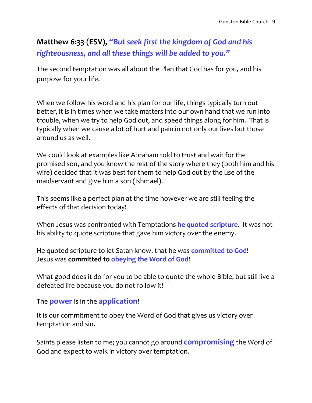## **Matthew 6:33 (ESV),** *"But seek first the kingdom of God and his righteousness, and all these things will be added to you."*

The second temptation was all about the Plan that God has for you, and his purpose for your life.

When we follow his word and his plan for our life, things typically turn out better, it is in times when we take matters into our own hand that we run into trouble, when we try to help God out, and speed things along for him. That is typically when we cause a lot of hurt and pain in not only our lives but those around us as well.

We could look at examples like Abraham told to trust and wait for the promised son, and you know the rest of the story where they (both him and his wife) decided that it was best for them to help God out by the use of the maidservant and give him a son (Ishmael).

This seems like a perfect plan at the time however we are still feeling the effects of that decision today!

When Jesus was confronted with Temptations **he quoted scripture**. It was not his ability to quote scripture that gave him victory over the enemy.

He quoted scripture to let Satan know, that he was **committed to God**! Jesus was **committed to obeying the Word of God**!

What good does it do for you to be able to quote the whole Bible, but still live a defeated life because you do not follow it!

The **power** is in the **application**!

It is our commitment to obey the Word of God that gives us victory over temptation and sin.

Saints please listen to me; you cannot go around **compromising** the Word of God and expect to walk in victory over temptation.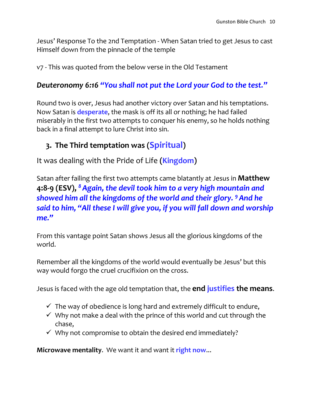Jesus' Response To the 2nd Temptation - When Satan tried to get Jesus to cast Himself down from the pinnacle of the temple

v7 - This was quoted from the below verse in the Old Testament

### *Deuteronomy 6:16 "You shall not put the Lord your God to the test."*

Round two is over, Jesus had another victory over Satan and his temptations. Now Satan is **desperate**, the mask is off its all or nothing; he had failed miserably in the first two attempts to conquer his enemy, so he holds nothing back in a final attempt to lure Christ into sin.

## **3. The Third temptation was (Spiritual)**

It was dealing with the Pride of Life **(Kingdom)**

Satan after failing the first two attempts came blatantly at Jesus in **Matthew 4:8-9 (ESV),** *<sup>8</sup>Again, the devil took him to a very high mountain and showed him all the kingdoms of the world and their glory. <sup>9</sup>And he said to him, "All these I will give you, if you will fall down and worship me."*

From this vantage point Satan shows Jesus all the glorious kingdoms of the world.

Remember all the kingdoms of the world would eventually be Jesus' but this way would forgo the cruel crucifixion on the cross.

Jesus is faced with the age old temptation that, the **end justifies the means**.

- $\checkmark$  The way of obedience is long hard and extremely difficult to endure,
- $\checkmark$  Why not make a deal with the prince of this world and cut through the chase,
- $\checkmark$  Why not compromise to obtain the desired end immediately?

**Microwave mentality**. We want it and want it **right now**...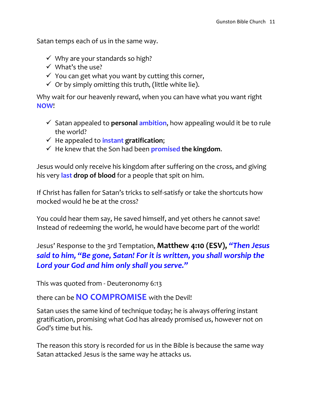Satan temps each of us in the same way.

- $\checkmark$  Why are your standards so high?
- $\checkmark$  What's the use?
- $\checkmark$  You can get what you want by cutting this corner,
- $\checkmark$  Or by simply omitting this truth, (little white lie).

Why wait for our heavenly reward, when you can have what you want right **NOW**!

- Satan appealed to **personal ambition**, how appealing would it be to rule the world?
- $\checkmark$  He appealed to *instant* gratification;
- $\checkmark$  He knew that the Son had been **promised the kingdom.**

Jesus would only receive his kingdom after suffering on the cross, and giving his very **last drop of blood** for a people that spit on him.

If Christ has fallen for Satan's tricks to self-satisfy or take the shortcuts how mocked would he be at the cross?

You could hear them say, He saved himself, and yet others he cannot save! Instead of redeeming the world, he would have become part of the world!

## Jesus' Response to the 3rd Temptation, **Matthew 4:10 (ESV),** *"Then Jesus said to him, "Be gone, Satan! For it is written, you shall worship the Lord your God and him only shall you serve."*

This was quoted from - Deuteronomy 6:13

there can be **NO COMPROMISE** with the Devil!

Satan uses the same kind of technique today; he is always offering instant gratification, promising what God has already promised us, however not on God's time but his.

The reason this story is recorded for us in the Bible is because the same way Satan attacked Jesus is the same way he attacks us.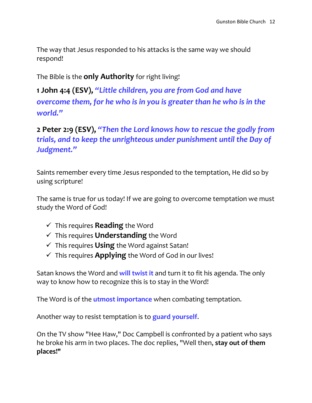The way that Jesus responded to his attacks is the same way we should respond!

The Bible is the **only Authority** for right living!

**1 John 4:4 (ESV),** *"Little children, you are from God and have overcome them, for he who is in you is greater than he who is in the world."*

**2 Peter 2:9 (ESV),** *"Then the Lord knows how to rescue the godly from trials, and to keep the unrighteous under punishment until the Day of Judgment."*

Saints remember every time Jesus responded to the temptation, He did so by using scripture!

The same is true for us today! If we are going to overcome temptation we must study the Word of God!

- This requires **Reading** the Word
- This requires **Understanding** the Word
- This requires **Using** the Word against Satan!
- $\checkmark$  This requires **Applying** the Word of God in our lives!

Satan knows the Word and **will twist it** and turn it to fit his agenda. The only way to know how to recognize this is to stay in the Word!

The Word is of the **utmost importance** when combating temptation.

Another way to resist temptation is to **guard yourself**.

On the TV show "Hee Haw," Doc Campbell is confronted by a patient who says he broke his arm in two places. The doc replies, "Well then, **stay out of them places!"**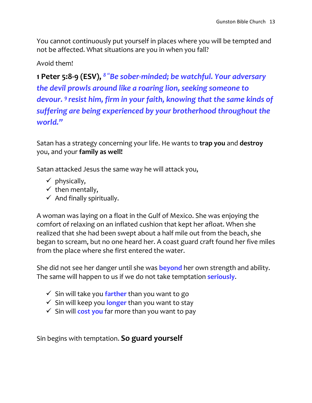You cannot continuously put yourself in places where you will be tempted and not be affected. What situations are you in when you fall?

Avoid them!

**1 Peter 5:8-9 (ESV),** *<sup>8</sup> "Be sober-minded; be watchful. Your adversary the devil prowls around like a roaring lion, seeking someone to devour. <sup>9</sup> resist him, firm in your faith, knowing that the same kinds of suffering are being experienced by your brotherhood throughout the world."*

Satan has a strategy concerning your life. He wants to **trap you** and **destroy** you, and your **family as well!** 

Satan attacked Jesus the same way he will attack you,

- $\checkmark$  physically,
- $\checkmark$  then mentally,
- $\checkmark$  And finally spiritually.

A woman was laying on a float in the Gulf of Mexico. She was enjoying the comfort of relaxing on an inflated cushion that kept her afloat. When she realized that she had been swept about a half mile out from the beach, she began to scream, but no one heard her. A coast guard craft found her five miles from the place where she first entered the water.

She did not see her danger until she was **beyond** her own strength and ability. The same will happen to us if we do not take temptation **seriously**.

- $\checkmark$  Sin will take you **farther** than you want to go
- Sin will keep you **longer** than you want to stay
- $\checkmark$  Sin will **cost you** far more than you want to pay

Sin begins with temptation. **So guard yourself**